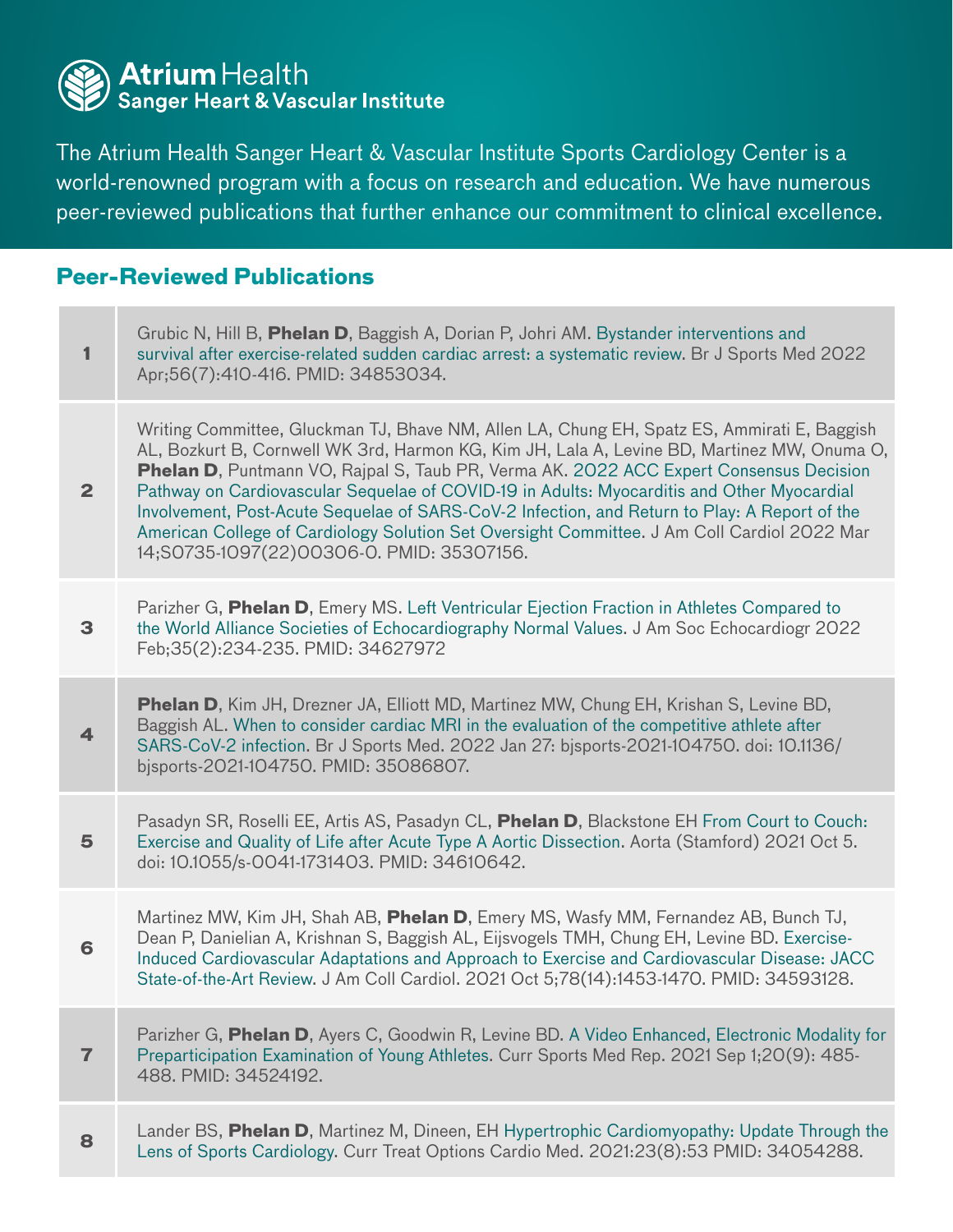

The Atrium Health Sanger Heart & Vascular Institute Sports Cardiology Center is a world-renowned program with a focus on research and education. We have numerous peer-reviewed publications that further enhance our commitment to clinical excellence.

## **Peer-Reviewed Publications**

| 1              | Grubic N, Hill B, Phelan D, Baggish A, Dorian P, Johri AM. Bystander interventions and<br>survival after exercise-related sudden cardiac arrest: a systematic review. Br J Sports Med 2022<br>Apr;56(7):410-416. PMID: 34853034.                                                                                                                                                                                                                                                                                                                                                                                                       |
|----------------|----------------------------------------------------------------------------------------------------------------------------------------------------------------------------------------------------------------------------------------------------------------------------------------------------------------------------------------------------------------------------------------------------------------------------------------------------------------------------------------------------------------------------------------------------------------------------------------------------------------------------------------|
| $\overline{2}$ | Writing Committee, Gluckman TJ, Bhave NM, Allen LA, Chung EH, Spatz ES, Ammirati E, Baggish<br>AL, Bozkurt B, Cornwell WK 3rd, Harmon KG, Kim JH, Lala A, Levine BD, Martinez MW, Onuma O,<br><b>Phelan D, Puntmann VO, Rajpal S, Taub PR, Verma AK. 2022 ACC Expert Consensus Decision</b><br>Pathway on Cardiovascular Sequelae of COVID-19 in Adults: Myocarditis and Other Myocardial<br>Involvement, Post-Acute Sequelae of SARS-CoV-2 Infection, and Return to Play: A Report of the<br>American College of Cardiology Solution Set Oversight Committee. J Am Coll Cardiol 2022 Mar<br>14;S0735-1097(22)00306-0. PMID: 35307156. |
| 3              | Parizher G, Phelan D, Emery MS. Left Ventricular Ejection Fraction in Athletes Compared to<br>the World Alliance Societies of Echocardiography Normal Values. J Am Soc Echocardiogr 2022<br>Feb; 35(2): 234-235. PMID: 34627972                                                                                                                                                                                                                                                                                                                                                                                                        |
| 4              | <b>Phelan D</b> , Kim JH, Drezner JA, Elliott MD, Martinez MW, Chung EH, Krishan S, Levine BD,<br>Baggish AL. When to consider cardiac MRI in the evaluation of the competitive athlete after<br>SARS-CoV-2 infection. Br J Sports Med. 2022 Jan 27: bjsports-2021-104750. doi: 10.1136/<br>bisports-2021-104750. PMID: 35086807.                                                                                                                                                                                                                                                                                                      |
| 5              | Pasadyn SR, Roselli EE, Artis AS, Pasadyn CL, Phelan D, Blackstone EH From Court to Couch:<br>Exercise and Quality of Life after Acute Type A Aortic Dissection. Aorta (Stamford) 2021 Oct 5.<br>doi: 10.1055/s-0041-1731403. PMID: 34610642.                                                                                                                                                                                                                                                                                                                                                                                          |
| 6              | Martinez MW, Kim JH, Shah AB, Phelan D, Emery MS, Wasfy MM, Fernandez AB, Bunch TJ,<br>Dean P, Danielian A, Krishnan S, Baggish AL, Eijsvogels TMH, Chung EH, Levine BD. Exercise-<br>Induced Cardiovascular Adaptations and Approach to Exercise and Cardiovascular Disease: JACC<br>State-of-the-Art Review. J Am Coll Cardiol. 2021 Oct 5;78(14):1453-1470. PMID: 34593128.                                                                                                                                                                                                                                                         |
| $\overline{7}$ | Parizher G, Phelan D, Ayers C, Goodwin R, Levine BD. A Video Enhanced, Electronic Modality for<br>Preparticipation Examination of Young Athletes. Curr Sports Med Rep. 2021 Sep 1;20(9): 485-<br>488. PMID: 34524192.                                                                                                                                                                                                                                                                                                                                                                                                                  |
| 8              | Lander BS, Phelan D, Martinez M, Dineen, EH Hypertrophic Cardiomyopathy: Update Through the<br>Lens of Sports Cardiology. Curr Treat Options Cardio Med. 2021:23(8):53 PMID: 34054288.                                                                                                                                                                                                                                                                                                                                                                                                                                                 |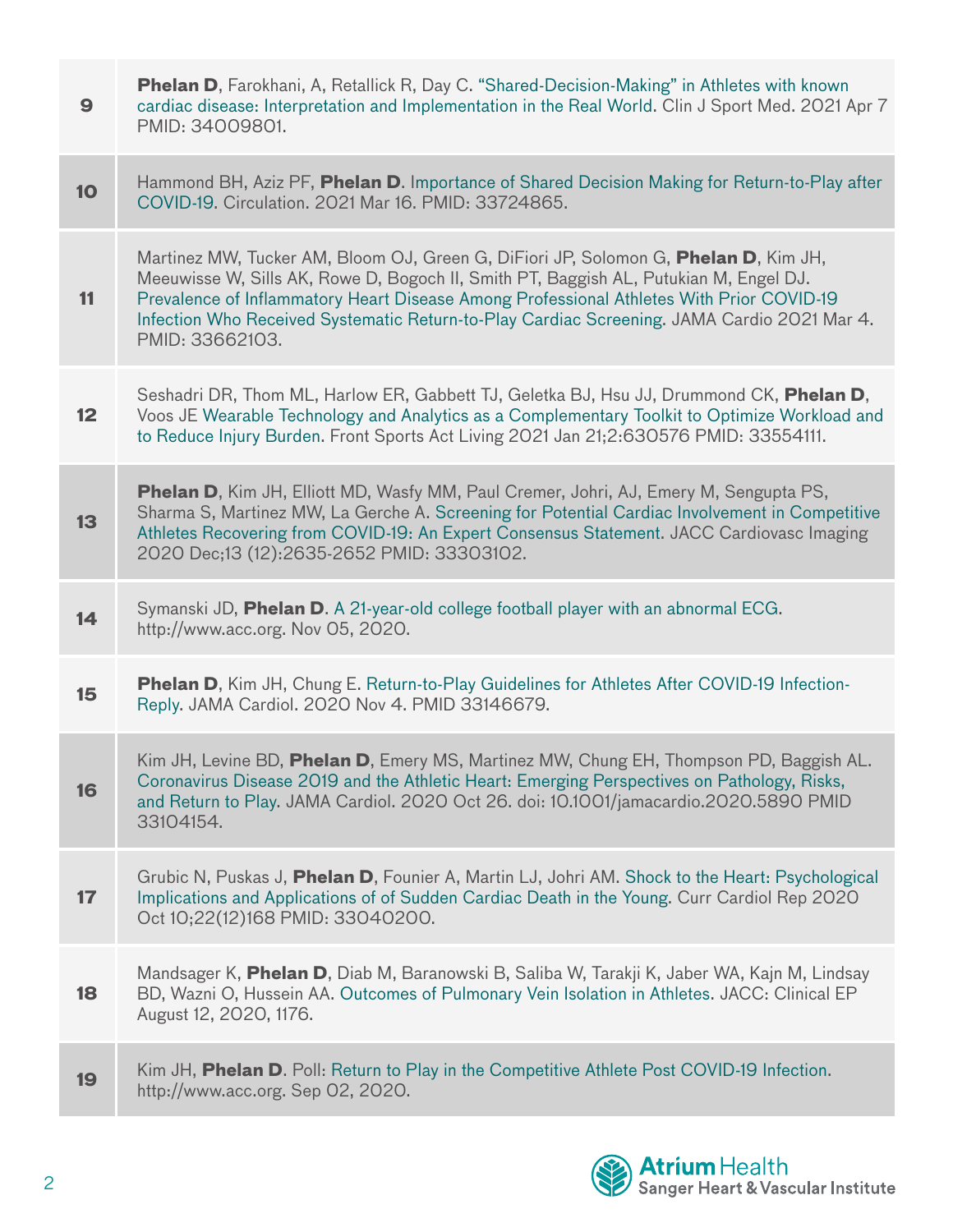| $\boldsymbol{9}$ | <b>Phelan D</b> , Farokhani, A, Retallick R, Day C. "Shared-Decision-Making" in Athletes with known<br>cardiac disease: Interpretation and Implementation in the Real World. Clin J Sport Med. 2021 Apr 7<br>PMID: 34009801.                                                                                                                                                               |
|------------------|--------------------------------------------------------------------------------------------------------------------------------------------------------------------------------------------------------------------------------------------------------------------------------------------------------------------------------------------------------------------------------------------|
| <b>10</b>        | Hammond BH, Aziz PF, Phelan D. Importance of Shared Decision Making for Return-to-Play after<br>COVID-19. Circulation. 2021 Mar 16. PMID: 33724865.                                                                                                                                                                                                                                        |
| 11               | Martinez MW, Tucker AM, Bloom OJ, Green G, DiFiori JP, Solomon G, Phelan D, Kim JH,<br>Meeuwisse W, Sills AK, Rowe D, Bogoch II, Smith PT, Baggish AL, Putukian M, Engel DJ.<br>Prevalence of Inflammatory Heart Disease Among Professional Athletes With Prior COVID-19<br>Infection Who Received Systematic Return-to-Play Cardiac Screening. JAMA Cardio 2021 Mar 4.<br>PMID: 33662103. |
| 12               | Seshadri DR, Thom ML, Harlow ER, Gabbett TJ, Geletka BJ, Hsu JJ, Drummond CK, Phelan D,<br>Voos JE Wearable Technology and Analytics as a Complementary Toolkit to Optimize Workload and<br>to Reduce Injury Burden. Front Sports Act Living 2021 Jan 21;2:630576 PMID: 33554111.                                                                                                          |
| 13               | <b>Phelan D</b> , Kim JH, Elliott MD, Wasfy MM, Paul Cremer, Johri, AJ, Emery M, Sengupta PS,<br>Sharma S, Martinez MW, La Gerche A. Screening for Potential Cardiac Involvement in Competitive<br>Athletes Recovering from COVID-19: An Expert Consensus Statement. JACC Cardiovasc Imaging<br>2020 Dec;13 (12):2635-2652 PMID: 33303102.                                                 |
| 14               | Symanski JD, Phelan D. A 21-year-old college football player with an abnormal ECG.<br>http://www.acc.org. Nov 05, 2020.                                                                                                                                                                                                                                                                    |
| 15               | Phelan D, Kim JH, Chung E. Return-to-Play Guidelines for Athletes After COVID-19 Infection-<br>Reply. JAMA Cardiol. 2020 Nov 4. PMID 33146679.                                                                                                                                                                                                                                             |
| 16               | Kim JH, Levine BD, Phelan D, Emery MS, Martinez MW, Chung EH, Thompson PD, Baggish AL.<br>Coronavirus Disease 2019 and the Athletic Heart: Emerging Perspectives on Pathology, Risks,<br>and Return to Play. JAMA Cardiol. 2020 Oct 26. doi: 10.1001/jamacardio.2020.5890 PMID<br>33104154.                                                                                                |
| 17               | Grubic N, Puskas J, Phelan D, Founier A, Martin LJ, Johri AM. Shock to the Heart: Psychological<br>Implications and Applications of of Sudden Cardiac Death in the Young. Curr Cardiol Rep 2020<br>Oct 10;22(12)168 PMID: 33040200.                                                                                                                                                        |
| 18               | Mandsager K, Phelan D, Diab M, Baranowski B, Saliba W, Tarakji K, Jaber WA, Kajn M, Lindsay<br>BD, Wazni O, Hussein AA. Outcomes of Pulmonary Vein Isolation in Athletes. JACC: Clinical EP<br>August 12, 2020, 1176.                                                                                                                                                                      |
| 19               | Kim JH, Phelan D. Poll: Return to Play in the Competitive Athlete Post COVID-19 Infection.<br>http://www.acc.org. Sep 02, 2020.                                                                                                                                                                                                                                                            |

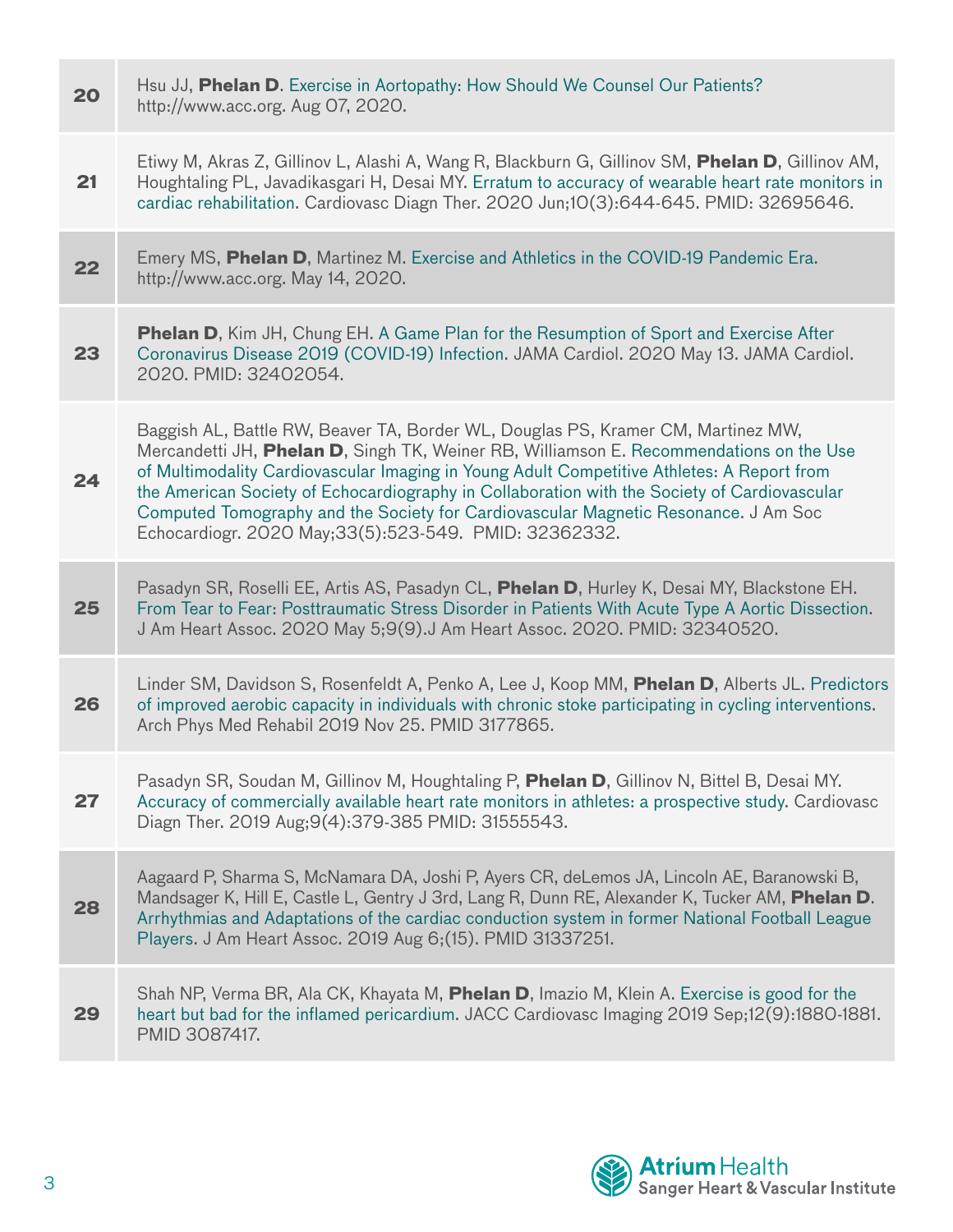| 20 | Hsu JJ, Phelan D. Exercise in Aortopathy: How Should We Counsel Our Patients?<br>http://www.acc.org. Aug 07, 2020.                                                                                                                                                                                                                                                                                                                                                                                                          |
|----|-----------------------------------------------------------------------------------------------------------------------------------------------------------------------------------------------------------------------------------------------------------------------------------------------------------------------------------------------------------------------------------------------------------------------------------------------------------------------------------------------------------------------------|
| 21 | Etiwy M, Akras Z, Gillinov L, Alashi A, Wang R, Blackburn G, Gillinov SM, Phelan D, Gillinov AM,<br>Houghtaling PL, Javadikasgari H, Desai MY. Erratum to accuracy of wearable heart rate monitors in<br>cardiac rehabilitation. Cardiovasc Diagn Ther. 2020 Jun;10(3):644-645. PMID: 32695646.                                                                                                                                                                                                                             |
| 22 | Emery MS, Phelan D, Martinez M. Exercise and Athletics in the COVID-19 Pandemic Era.<br>http://www.acc.org. May 14, 2020.                                                                                                                                                                                                                                                                                                                                                                                                   |
| 23 | <b>Phelan D</b> , Kim JH, Chung EH. A Game Plan for the Resumption of Sport and Exercise After<br>Coronavirus Disease 2019 (COVID-19) Infection. JAMA Cardiol. 2020 May 13. JAMA Cardiol.<br>2020. PMID: 32402054.                                                                                                                                                                                                                                                                                                          |
| 24 | Baggish AL, Battle RW, Beaver TA, Border WL, Douglas PS, Kramer CM, Martinez MW,<br>Mercandetti JH, Phelan D, Singh TK, Weiner RB, Williamson E. Recommendations on the Use<br>of Multimodality Cardiovascular Imaging in Young Adult Competitive Athletes: A Report from<br>the American Society of Echocardiography in Collaboration with the Society of Cardiovascular<br>Computed Tomography and the Society for Cardiovascular Magnetic Resonance. J Am Soc<br>Echocardiogr. 2020 May; 33(5): 523-549. PMID: 32362332. |
| 25 | Pasadyn SR, Roselli EE, Artis AS, Pasadyn CL, Phelan D, Hurley K, Desai MY, Blackstone EH.<br>From Tear to Fear: Posttraumatic Stress Disorder in Patients With Acute Type A Aortic Dissection.<br>J Am Heart Assoc. 2020 May 5;9(9).J Am Heart Assoc. 2020. PMID: 32340520.                                                                                                                                                                                                                                                |
| 26 | Linder SM, Davidson S, Rosenfeldt A, Penko A, Lee J, Koop MM, Phelan D, Alberts JL. Predictors<br>of improved aerobic capacity in individuals with chronic stoke participating in cycling interventions.<br>Arch Phys Med Rehabil 2019 Nov 25. PMID 3177865.                                                                                                                                                                                                                                                                |
| 27 | Pasadyn SR, Soudan M, Gillinov M, Houghtaling P, Phelan D, Gillinov N, Bittel B, Desai MY.<br>Accuracy of commercially available heart rate monitors in athletes: a prospective study. Cardiovasc<br>Diagn Ther. 2019 Aug; 9(4): 379-385 PMID: 31555543.                                                                                                                                                                                                                                                                    |
| 28 | Aagaard P, Sharma S, McNamara DA, Joshi P, Ayers CR, deLemos JA, Lincoln AE, Baranowski B,<br>Mandsager K, Hill E, Castle L, Gentry J 3rd, Lang R, Dunn RE, Alexander K, Tucker AM, Phelan D.<br>Arrhythmias and Adaptations of the cardiac conduction system in former National Football League<br>Players. J Am Heart Assoc. 2019 Aug 6; (15). PMID 31337251.                                                                                                                                                             |
| 29 | Shah NP, Verma BR, Ala CK, Khayata M, Phelan D, Imazio M, Klein A. Exercise is good for the<br>heart but bad for the inflamed pericardium. JACC Cardiovasc Imaging 2019 Sep;12(9):1880-1881.<br>PMID 3087417.                                                                                                                                                                                                                                                                                                               |

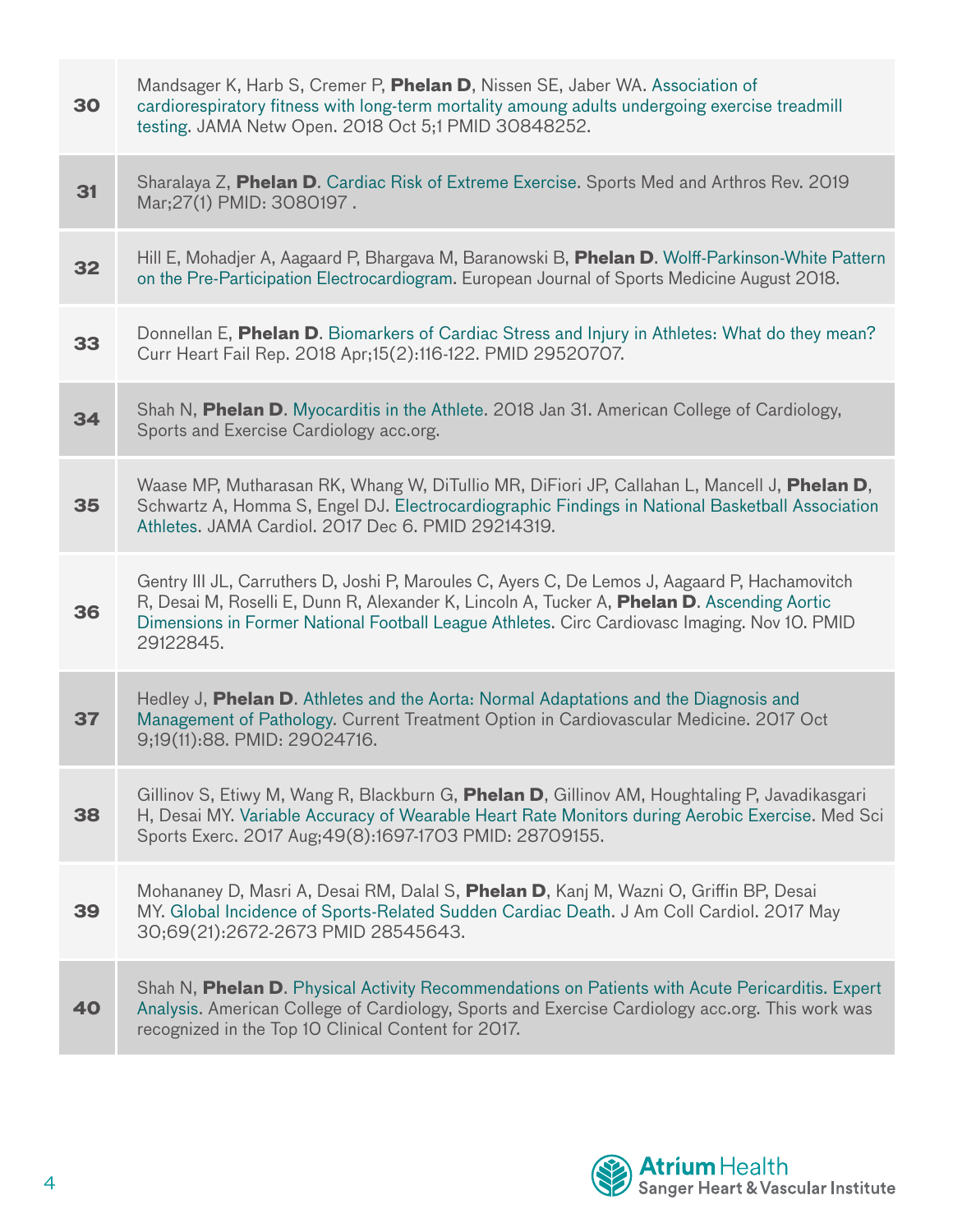| 30 | Mandsager K, Harb S, Cremer P, Phelan D, Nissen SE, Jaber WA. Association of<br>cardiorespiratory fitness with long-term mortality amoung adults undergoing exercise treadmill<br>testing. JAMA Netw Open. 2018 Oct 5;1 PMID 30848252.                                                                      |
|----|-------------------------------------------------------------------------------------------------------------------------------------------------------------------------------------------------------------------------------------------------------------------------------------------------------------|
| 31 | Sharalaya Z, Phelan D. Cardiac Risk of Extreme Exercise. Sports Med and Arthros Rev. 2019<br>Mar; 27(1) PMID: 3080197.                                                                                                                                                                                      |
| 32 | Hill E, Mohadjer A, Aagaard P, Bhargava M, Baranowski B, Phelan D. Wolff-Parkinson-White Pattern<br>on the Pre-Participation Electrocardiogram. European Journal of Sports Medicine August 2018.                                                                                                            |
| 33 | Donnellan E, Phelan D. Biomarkers of Cardiac Stress and Injury in Athletes: What do they mean?<br>Curr Heart Fail Rep. 2018 Apr;15(2):116-122. PMID 29520707.                                                                                                                                               |
| 34 | Shah N, Phelan D. Myocarditis in the Athlete. 2018 Jan 31. American College of Cardiology,<br>Sports and Exercise Cardiology acc.org.                                                                                                                                                                       |
| 35 | Waase MP, Mutharasan RK, Whang W, DiTullio MR, DiFiori JP, Callahan L, Mancell J, Phelan D,<br>Schwartz A, Homma S, Engel DJ. Electrocardiographic Findings in National Basketball Association<br>Athletes. JAMA Cardiol. 2017 Dec 6. PMID 29214319.                                                        |
| 36 | Gentry III JL, Carruthers D, Joshi P, Maroules C, Ayers C, De Lemos J, Aagaard P, Hachamovitch<br>R, Desai M, Roselli E, Dunn R, Alexander K, Lincoln A, Tucker A, Phelan D. Ascending Aortic<br>Dimensions in Former National Football League Athletes. Circ Cardiovasc Imaging. Nov 10. PMID<br>29122845. |
| 37 | Hedley J, Phelan D. Athletes and the Aorta: Normal Adaptations and the Diagnosis and<br>Management of Pathology. Current Treatment Option in Cardiovascular Medicine. 2017 Oct<br>9;19(11):88. PMID: 29024716.                                                                                              |
| 38 | Gillinov S, Etiwy M, Wang R, Blackburn G, <b>Phelan D</b> , Gillinov AM, Houghtaling P, Javadikasgari<br>H, Desai MY. Variable Accuracy of Wearable Heart Rate Monitors during Aerobic Exercise. Med Sci<br>Sports Exerc. 2017 Aug; 49(8): 1697-1703 PMID: 28709155.                                        |
| 39 | Mohananey D, Masri A, Desai RM, Dalal S, Phelan D, Kanj M, Wazni O, Griffin BP, Desai<br>MY. Global Incidence of Sports-Related Sudden Cardiac Death. J Am Coll Cardiol. 2017 May<br>30;69(21):2672-2673 PMID 28545643.                                                                                     |
| 40 | Shah N, <b>Phelan D</b> . Physical Activity Recommendations on Patients with Acute Pericarditis. Expert<br>Analysis. American College of Cardiology, Sports and Exercise Cardiology acc.org. This work was<br>recognized in the Top 10 Clinical Content for 2017.                                           |